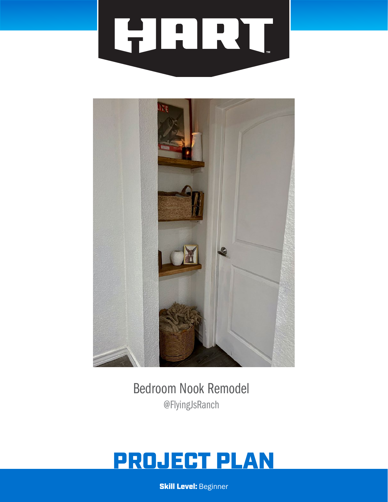



Bedroom Nook Remodel @FlyingJsRanch

# PROJECT PLAN

**Skill Level: Beginner**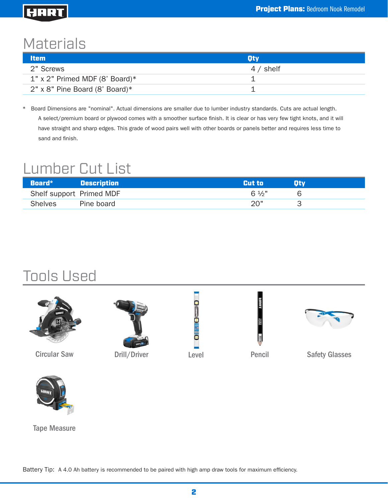# HART

# **Materials**

| ltem.                                 | /Otv       |
|---------------------------------------|------------|
| 2" Screws                             | $4/$ shelf |
| $1"$ x 2" Primed MDF (8' Board)*      |            |
| $2" \times 8"$ Pine Board (8' Board)* |            |

\* Board Dimensions are "nominal". Actual dimensions are smaller due to lumber industry standards. Cuts are actual length. A select/premium board or plywood comes with a smoother surface finish. It is clear or has very few tight knots, and it will have straight and sharp edges. This grade of wood pairs well with other boards or panels better and requires less time to sand and finish.

## Lumber Cut List

| Board*                   | <b>Description</b> | Cut to | Otv |
|--------------------------|--------------------|--------|-----|
| Shelf support Primed MDF |                    | 6 1/2" |     |
| <b>Shelves</b>           | Pine board         |        |     |

# Tools Used



Circular Saw Drill/Driver





Level





Pencil Safety Glasses



Tape Measure

Battery Tip: A 4.0 Ah battery is recommended to be paired with high amp draw tools for maximum efficiency.